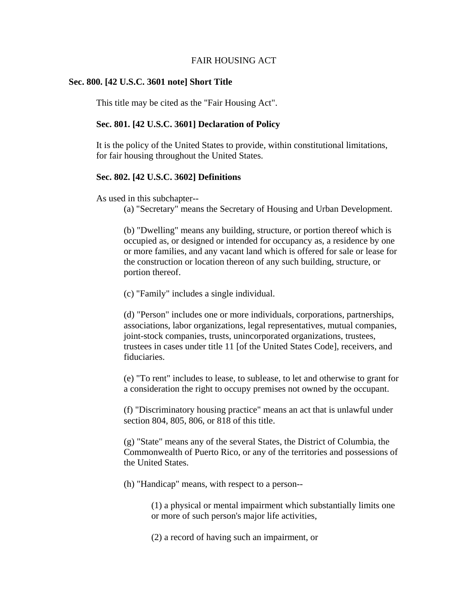### FAIR HOUSING ACT

### **Sec. 800. [42 U.S.C. 3601 note] Short Title**

This title may be cited as the "Fair Housing Act".

### **Sec. 801. [42 U.S.C. 3601] Declaration of Policy**

It is the policy of the United States to provide, within constitutional limitations, for fair housing throughout the United States.

### **Sec. 802. [42 U.S.C. 3602] Definitions**

As used in this subchapter--

(a) "Secretary" means the Secretary of Housing and Urban Development.

(b) "Dwelling" means any building, structure, or portion thereof which is occupied as, or designed or intended for occupancy as, a residence by one or more families, and any vacant land which is offered for sale or lease for the construction or location thereon of any such building, structure, or portion thereof.

(c) "Family" includes a single individual.

(d) "Person" includes one or more individuals, corporations, partnerships, associations, labor organizations, legal representatives, mutual companies, joint-stock companies, trusts, unincorporated organizations, trustees, trustees in cases under title 11 [of the United States Code], receivers, and fiduciaries.

(e) "To rent" includes to lease, to sublease, to let and otherwise to grant for a consideration the right to occupy premises not owned by the occupant.

(f) "Discriminatory housing practice" means an act that is unlawful under section 804, 805, 806, or 818 of this title.

(g) "State" means any of the several States, the District of Columbia, the Commonwealth of Puerto Rico, or any of the territories and possessions of the United States.

(h) "Handicap" means, with respect to a person--

(1) a physical or mental impairment which substantially limits one or more of such person's major life activities,

(2) a record of having such an impairment, or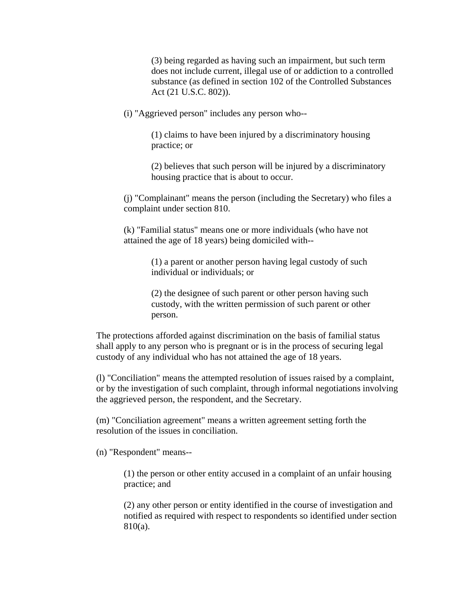(3) being regarded as having such an impairment, but such term does not include current, illegal use of or addiction to a controlled substance (as defined in section 102 of the Controlled Substances Act (21 U.S.C. 802)).

(i) "Aggrieved person" includes any person who--

(1) claims to have been injured by a discriminatory housing practice; or

(2) believes that such person will be injured by a discriminatory housing practice that is about to occur.

(j) "Complainant" means the person (including the Secretary) who files a complaint under section 810.

(k) "Familial status" means one or more individuals (who have not attained the age of 18 years) being domiciled with--

> (1) a parent or another person having legal custody of such individual or individuals; or

(2) the designee of such parent or other person having such custody, with the written permission of such parent or other person.

The protections afforded against discrimination on the basis of familial status shall apply to any person who is pregnant or is in the process of securing legal custody of any individual who has not attained the age of 18 years.

(l) "Conciliation" means the attempted resolution of issues raised by a complaint, or by the investigation of such complaint, through informal negotiations involving the aggrieved person, the respondent, and the Secretary.

(m) "Conciliation agreement" means a written agreement setting forth the resolution of the issues in conciliation.

(n) "Respondent" means--

(1) the person or other entity accused in a complaint of an unfair housing practice; and

(2) any other person or entity identified in the course of investigation and notified as required with respect to respondents so identified under section 810(a).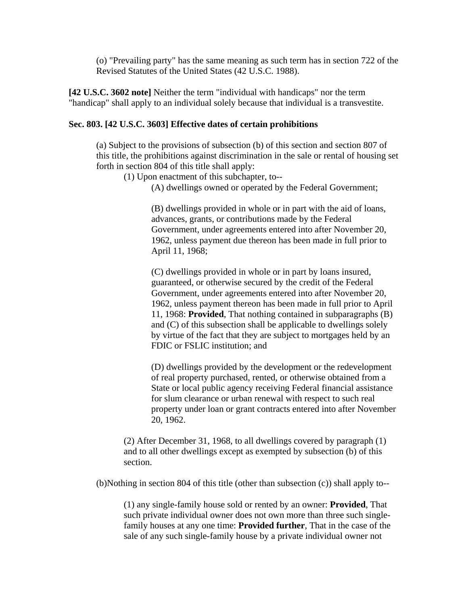(o) "Prevailing party" has the same meaning as such term has in section 722 of the Revised Statutes of the United States (42 U.S.C. 1988).

**[42 U.S.C. 3602 note]** Neither the term "individual with handicaps" nor the term "handicap" shall apply to an individual solely because that individual is a transvestite.

## **Sec. 803. [42 U.S.C. 3603] Effective dates of certain prohibitions**

(a) Subject to the provisions of subsection (b) of this section and section 807 of this title, the prohibitions against discrimination in the sale or rental of housing set forth in section 804 of this title shall apply:

(1) Upon enactment of this subchapter, to--

(A) dwellings owned or operated by the Federal Government;

(B) dwellings provided in whole or in part with the aid of loans, advances, grants, or contributions made by the Federal Government, under agreements entered into after November 20, 1962, unless payment due thereon has been made in full prior to April 11, 1968;

(C) dwellings provided in whole or in part by loans insured, guaranteed, or otherwise secured by the credit of the Federal Government, under agreements entered into after November 20, 1962, unless payment thereon has been made in full prior to April 11, 1968: **Provided**, That nothing contained in subparagraphs (B) and (C) of this subsection shall be applicable to dwellings solely by virtue of the fact that they are subject to mortgages held by an FDIC or FSLIC institution; and

(D) dwellings provided by the development or the redevelopment of real property purchased, rented, or otherwise obtained from a State or local public agency receiving Federal financial assistance for slum clearance or urban renewal with respect to such real property under loan or grant contracts entered into after November 20, 1962.

(2) After December 31, 1968, to all dwellings covered by paragraph (1) and to all other dwellings except as exempted by subsection (b) of this section.

(b)Nothing in section 804 of this title (other than subsection (c)) shall apply to--

(1) any single-family house sold or rented by an owner: **Provided**, That such private individual owner does not own more than three such singlefamily houses at any one time: **Provided further**, That in the case of the sale of any such single-family house by a private individual owner not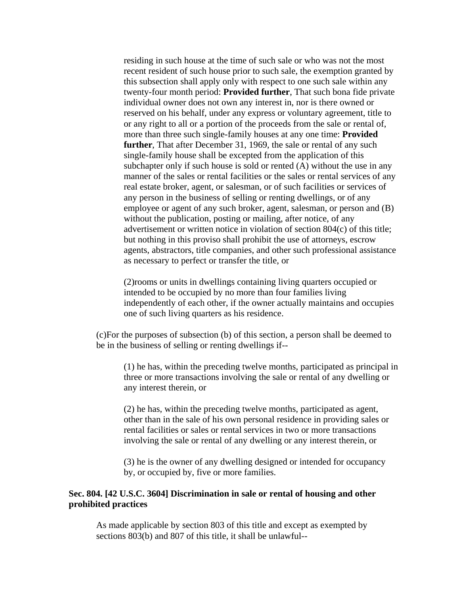residing in such house at the time of such sale or who was not the most recent resident of such house prior to such sale, the exemption granted by this subsection shall apply only with respect to one such sale within any twenty-four month period: **Provided further**, That such bona fide private individual owner does not own any interest in, nor is there owned or reserved on his behalf, under any express or voluntary agreement, title to or any right to all or a portion of the proceeds from the sale or rental of, more than three such single-family houses at any one time: **Provided further**, That after December 31, 1969, the sale or rental of any such single-family house shall be excepted from the application of this subchapter only if such house is sold or rented (A) without the use in any manner of the sales or rental facilities or the sales or rental services of any real estate broker, agent, or salesman, or of such facilities or services of any person in the business of selling or renting dwellings, or of any employee or agent of any such broker, agent, salesman, or person and (B) without the publication, posting or mailing, after notice, of any advertisement or written notice in violation of section 804(c) of this title; but nothing in this proviso shall prohibit the use of attorneys, escrow agents, abstractors, title companies, and other such professional assistance as necessary to perfect or transfer the title, or

(2)rooms or units in dwellings containing living quarters occupied or intended to be occupied by no more than four families living independently of each other, if the owner actually maintains and occupies one of such living quarters as his residence.

(c)For the purposes of subsection (b) of this section, a person shall be deemed to be in the business of selling or renting dwellings if--

(1) he has, within the preceding twelve months, participated as principal in three or more transactions involving the sale or rental of any dwelling or any interest therein, or

(2) he has, within the preceding twelve months, participated as agent, other than in the sale of his own personal residence in providing sales or rental facilities or sales or rental services in two or more transactions involving the sale or rental of any dwelling or any interest therein, or

(3) he is the owner of any dwelling designed or intended for occupancy by, or occupied by, five or more families.

## **Sec. 804. [42 U.S.C. 3604] Discrimination in sale or rental of housing and other prohibited practices**

As made applicable by section 803 of this title and except as exempted by sections 803(b) and 807 of this title, it shall be unlawful--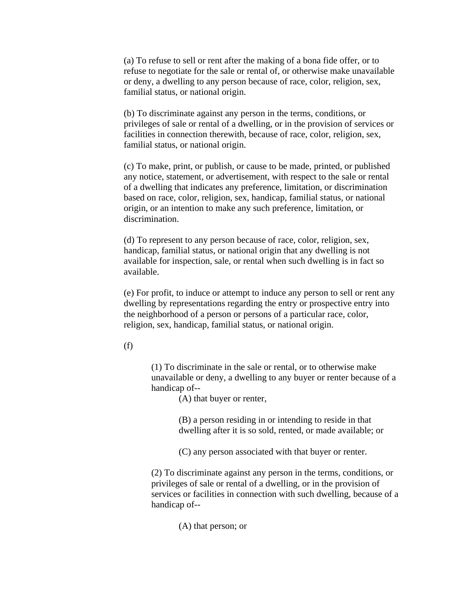(a) To refuse to sell or rent after the making of a bona fide offer, or to refuse to negotiate for the sale or rental of, or otherwise make unavailable or deny, a dwelling to any person because of race, color, religion, sex, familial status, or national origin.

(b) To discriminate against any person in the terms, conditions, or privileges of sale or rental of a dwelling, or in the provision of services or facilities in connection therewith, because of race, color, religion, sex, familial status, or national origin.

(c) To make, print, or publish, or cause to be made, printed, or published any notice, statement, or advertisement, with respect to the sale or rental of a dwelling that indicates any preference, limitation, or discrimination based on race, color, religion, sex, handicap, familial status, or national origin, or an intention to make any such preference, limitation, or discrimination.

(d) To represent to any person because of race, color, religion, sex, handicap, familial status, or national origin that any dwelling is not available for inspection, sale, or rental when such dwelling is in fact so available.

(e) For profit, to induce or attempt to induce any person to sell or rent any dwelling by representations regarding the entry or prospective entry into the neighborhood of a person or persons of a particular race, color, religion, sex, handicap, familial status, or national origin.

## (f)

(1) To discriminate in the sale or rental, or to otherwise make unavailable or deny, a dwelling to any buyer or renter because of a handicap of--

(A) that buyer or renter,

(B) a person residing in or intending to reside in that dwelling after it is so sold, rented, or made available; or

(C) any person associated with that buyer or renter.

(2) To discriminate against any person in the terms, conditions, or privileges of sale or rental of a dwelling, or in the provision of services or facilities in connection with such dwelling, because of a handicap of--

(A) that person; or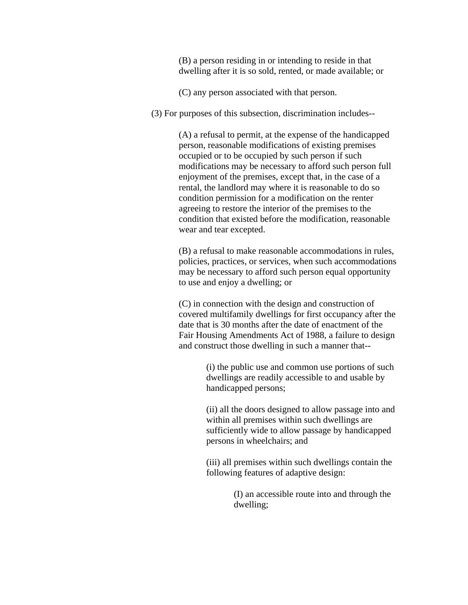(B) a person residing in or intending to reside in that dwelling after it is so sold, rented, or made available; or

(C) any person associated with that person.

(3) For purposes of this subsection, discrimination includes--

(A) a refusal to permit, at the expense of the handicapped person, reasonable modifications of existing premises occupied or to be occupied by such person if such modifications may be necessary to afford such person full enjoyment of the premises, except that, in the case of a rental, the landlord may where it is reasonable to do so condition permission for a modification on the renter agreeing to restore the interior of the premises to the condition that existed before the modification, reasonable wear and tear excepted.

(B) a refusal to make reasonable accommodations in rules, policies, practices, or services, when such accommodations may be necessary to afford such person equal opportunity to use and enjoy a dwelling; or

(C) in connection with the design and construction of covered multifamily dwellings for first occupancy after the date that is 30 months after the date of enactment of the Fair Housing Amendments Act of 1988, a failure to design and construct those dwelling in such a manner that--

> (i) the public use and common use portions of such dwellings are readily accessible to and usable by handicapped persons;

> (ii) all the doors designed to allow passage into and within all premises within such dwellings are sufficiently wide to allow passage by handicapped persons in wheelchairs; and

(iii) all premises within such dwellings contain the following features of adaptive design:

> (I) an accessible route into and through the dwelling;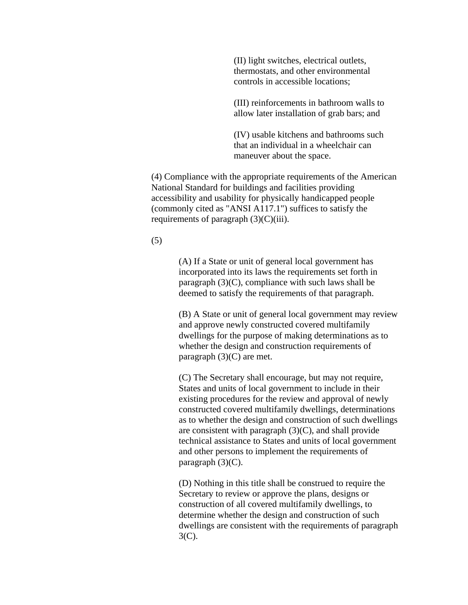(II) light switches, electrical outlets, thermostats, and other environmental controls in accessible locations;

(III) reinforcements in bathroom walls to allow later installation of grab bars; and

(IV) usable kitchens and bathrooms such that an individual in a wheelchair can maneuver about the space.

(4) Compliance with the appropriate requirements of the American National Standard for buildings and facilities providing accessibility and usability for physically handicapped people (commonly cited as "ANSI A117.1") suffices to satisfy the requirements of paragraph  $(3)(C)(iii)$ .

(5)

(A) If a State or unit of general local government has incorporated into its laws the requirements set forth in paragraph (3)(C), compliance with such laws shall be deemed to satisfy the requirements of that paragraph.

(B) A State or unit of general local government may review and approve newly constructed covered multifamily dwellings for the purpose of making determinations as to whether the design and construction requirements of paragraph  $(3)(C)$  are met.

(C) The Secretary shall encourage, but may not require, States and units of local government to include in their existing procedures for the review and approval of newly constructed covered multifamily dwellings, determinations as to whether the design and construction of such dwellings are consistent with paragraph  $(3)(C)$ , and shall provide technical assistance to States and units of local government and other persons to implement the requirements of paragraph  $(3)(C)$ .

(D) Nothing in this title shall be construed to require the Secretary to review or approve the plans, designs or construction of all covered multifamily dwellings, to determine whether the design and construction of such dwellings are consistent with the requirements of paragraph 3(C).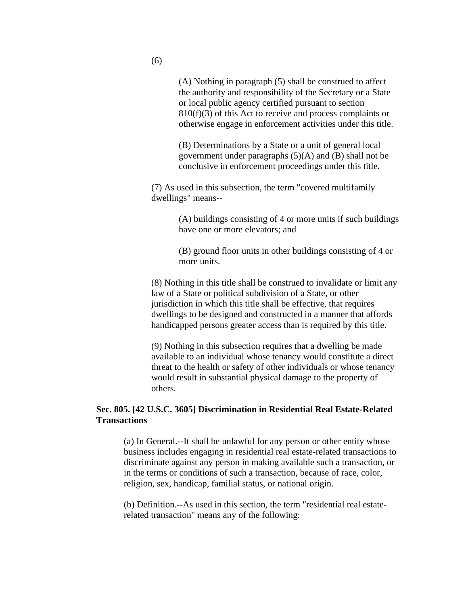(A) Nothing in paragraph (5) shall be construed to affect the authority and responsibility of the Secretary or a State or local public agency certified pursuant to section 810(f)(3) of this Act to receive and process complaints or otherwise engage in enforcement activities under this title.

(B) Determinations by a State or a unit of general local government under paragraphs (5)(A) and (B) shall not be conclusive in enforcement proceedings under this title.

(7) As used in this subsection, the term "covered multifamily dwellings" means--

> (A) buildings consisting of 4 or more units if such buildings have one or more elevators; and

(B) ground floor units in other buildings consisting of 4 or more units.

(8) Nothing in this title shall be construed to invalidate or limit any law of a State or political subdivision of a State, or other jurisdiction in which this title shall be effective, that requires dwellings to be designed and constructed in a manner that affords handicapped persons greater access than is required by this title.

(9) Nothing in this subsection requires that a dwelling be made available to an individual whose tenancy would constitute a direct threat to the health or safety of other individuals or whose tenancy would result in substantial physical damage to the property of others.

## **Sec. 805. [42 U.S.C. 3605] Discrimination in Residential Real Estate-Related Transactions**

(a) In General.--It shall be unlawful for any person or other entity whose business includes engaging in residential real estate-related transactions to discriminate against any person in making available such a transaction, or in the terms or conditions of such a transaction, because of race, color, religion, sex, handicap, familial status, or national origin.

(b) Definition.--As used in this section, the term "residential real estaterelated transaction" means any of the following: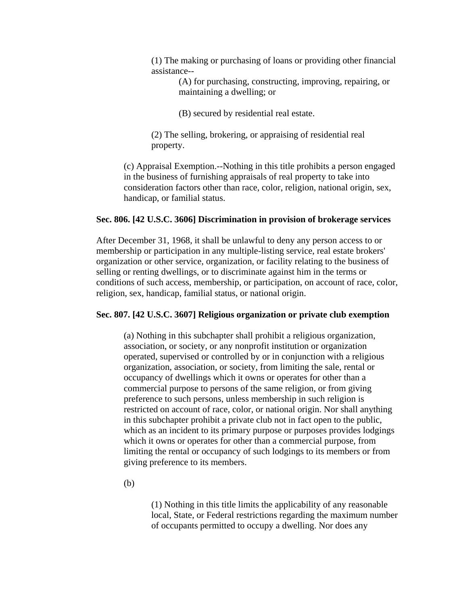(1) The making or purchasing of loans or providing other financial assistance--

> (A) for purchasing, constructing, improving, repairing, or maintaining a dwelling; or

(B) secured by residential real estate.

(2) The selling, brokering, or appraising of residential real property.

(c) Appraisal Exemption.--Nothing in this title prohibits a person engaged in the business of furnishing appraisals of real property to take into consideration factors other than race, color, religion, national origin, sex, handicap, or familial status.

### **Sec. 806. [42 U.S.C. 3606] Discrimination in provision of brokerage services**

After December 31, 1968, it shall be unlawful to deny any person access to or membership or participation in any multiple-listing service, real estate brokers' organization or other service, organization, or facility relating to the business of selling or renting dwellings, or to discriminate against him in the terms or conditions of such access, membership, or participation, on account of race, color, religion, sex, handicap, familial status, or national origin.

#### **Sec. 807. [42 U.S.C. 3607] Religious organization or private club exemption**

(a) Nothing in this subchapter shall prohibit a religious organization, association, or society, or any nonprofit institution or organization operated, supervised or controlled by or in conjunction with a religious organization, association, or society, from limiting the sale, rental or occupancy of dwellings which it owns or operates for other than a commercial purpose to persons of the same religion, or from giving preference to such persons, unless membership in such religion is restricted on account of race, color, or national origin. Nor shall anything in this subchapter prohibit a private club not in fact open to the public, which as an incident to its primary purpose or purposes provides lodgings which it owns or operates for other than a commercial purpose, from limiting the rental or occupancy of such lodgings to its members or from giving preference to its members.

(b)

(1) Nothing in this title limits the applicability of any reasonable local, State, or Federal restrictions regarding the maximum number of occupants permitted to occupy a dwelling. Nor does any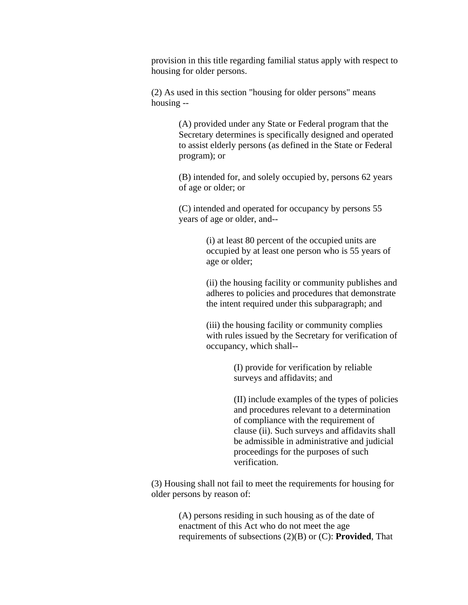provision in this title regarding familial status apply with respect to housing for older persons.

(2) As used in this section "housing for older persons" means housing --

> (A) provided under any State or Federal program that the Secretary determines is specifically designed and operated to assist elderly persons (as defined in the State or Federal program); or

> (B) intended for, and solely occupied by, persons 62 years of age or older; or

(C) intended and operated for occupancy by persons 55 years of age or older, and--

> (i) at least 80 percent of the occupied units are occupied by at least one person who is 55 years of age or older;

(ii) the housing facility or community publishes and adheres to policies and procedures that demonstrate the intent required under this subparagraph; and

(iii) the housing facility or community complies with rules issued by the Secretary for verification of occupancy, which shall--

> (I) provide for verification by reliable surveys and affidavits; and

(II) include examples of the types of policies and procedures relevant to a determination of compliance with the requirement of clause (ii). Such surveys and affidavits shall be admissible in administrative and judicial proceedings for the purposes of such verification.

(3) Housing shall not fail to meet the requirements for housing for older persons by reason of:

> (A) persons residing in such housing as of the date of enactment of this Act who do not meet the age requirements of subsections (2)(B) or (C): **Provided**, That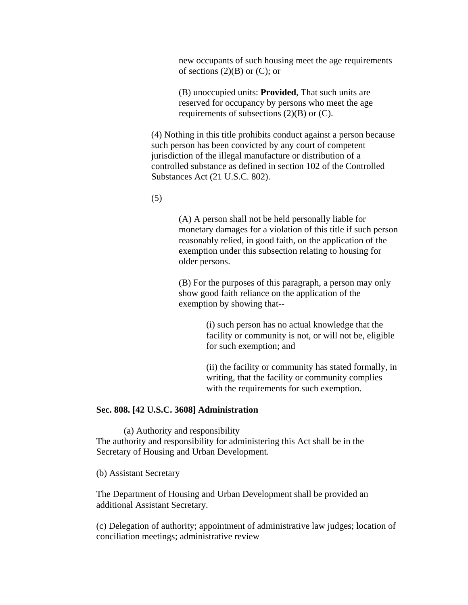new occupants of such housing meet the age requirements of sections  $(2)(B)$  or  $(C)$ ; or

(B) unoccupied units: **Provided**, That such units are reserved for occupancy by persons who meet the age requirements of subsections  $(2)(B)$  or  $(C)$ .

(4) Nothing in this title prohibits conduct against a person because such person has been convicted by any court of competent jurisdiction of the illegal manufacture or distribution of a controlled substance as defined in section 102 of the Controlled Substances Act (21 U.S.C. 802).

(5)

(A) A person shall not be held personally liable for monetary damages for a violation of this title if such person reasonably relied, in good faith, on the application of the exemption under this subsection relating to housing for older persons.

(B) For the purposes of this paragraph, a person may only show good faith reliance on the application of the exemption by showing that--

> (i) such person has no actual knowledge that the facility or community is not, or will not be, eligible for such exemption; and

(ii) the facility or community has stated formally, in writing, that the facility or community complies with the requirements for such exemption.

#### **Sec. 808. [42 U.S.C. 3608] Administration**

(a) Authority and responsibility The authority and responsibility for administering this Act shall be in the Secretary of Housing and Urban Development.

(b) Assistant Secretary

The Department of Housing and Urban Development shall be provided an additional Assistant Secretary.

(c) Delegation of authority; appointment of administrative law judges; location of conciliation meetings; administrative review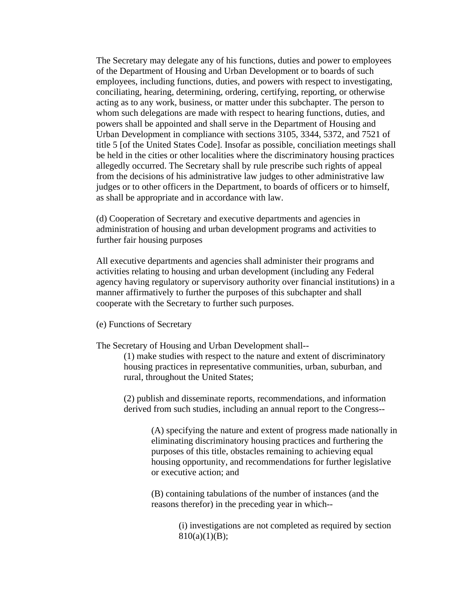The Secretary may delegate any of his functions, duties and power to employees of the Department of Housing and Urban Development or to boards of such employees, including functions, duties, and powers with respect to investigating, conciliating, hearing, determining, ordering, certifying, reporting, or otherwise acting as to any work, business, or matter under this subchapter. The person to whom such delegations are made with respect to hearing functions, duties, and powers shall be appointed and shall serve in the Department of Housing and Urban Development in compliance with sections 3105, 3344, 5372, and 7521 of title 5 [of the United States Code]. Insofar as possible, conciliation meetings shall be held in the cities or other localities where the discriminatory housing practices allegedly occurred. The Secretary shall by rule prescribe such rights of appeal from the decisions of his administrative law judges to other administrative law judges or to other officers in the Department, to boards of officers or to himself, as shall be appropriate and in accordance with law.

(d) Cooperation of Secretary and executive departments and agencies in administration of housing and urban development programs and activities to further fair housing purposes

All executive departments and agencies shall administer their programs and activities relating to housing and urban development (including any Federal agency having regulatory or supervisory authority over financial institutions) in a manner affirmatively to further the purposes of this subchapter and shall cooperate with the Secretary to further such purposes.

(e) Functions of Secretary

The Secretary of Housing and Urban Development shall--

(1) make studies with respect to the nature and extent of discriminatory housing practices in representative communities, urban, suburban, and rural, throughout the United States;

(2) publish and disseminate reports, recommendations, and information derived from such studies, including an annual report to the Congress--

> (A) specifying the nature and extent of progress made nationally in eliminating discriminatory housing practices and furthering the purposes of this title, obstacles remaining to achieving equal housing opportunity, and recommendations for further legislative or executive action; and

(B) containing tabulations of the number of instances (and the reasons therefor) in the preceding year in which--

> (i) investigations are not completed as required by section  $810(a)(1)(B);$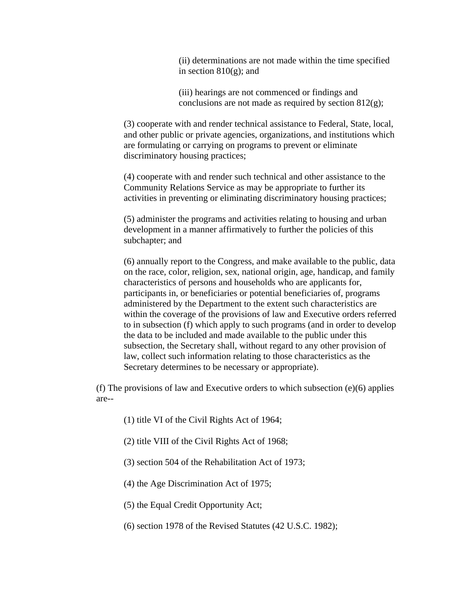(ii) determinations are not made within the time specified in section  $810(g)$ ; and

(iii) hearings are not commenced or findings and conclusions are not made as required by section  $812(g)$ ;

(3) cooperate with and render technical assistance to Federal, State, local, and other public or private agencies, organizations, and institutions which are formulating or carrying on programs to prevent or eliminate discriminatory housing practices;

(4) cooperate with and render such technical and other assistance to the Community Relations Service as may be appropriate to further its activities in preventing or eliminating discriminatory housing practices;

(5) administer the programs and activities relating to housing and urban development in a manner affirmatively to further the policies of this subchapter; and

(6) annually report to the Congress, and make available to the public, data on the race, color, religion, sex, national origin, age, handicap, and family characteristics of persons and households who are applicants for, participants in, or beneficiaries or potential beneficiaries of, programs administered by the Department to the extent such characteristics are within the coverage of the provisions of law and Executive orders referred to in subsection (f) which apply to such programs (and in order to develop the data to be included and made available to the public under this subsection, the Secretary shall, without regard to any other provision of law, collect such information relating to those characteristics as the Secretary determines to be necessary or appropriate).

(f) The provisions of law and Executive orders to which subsection  $(e)(6)$  applies are--

(1) title VI of the Civil Rights Act of 1964;

(2) title VIII of the Civil Rights Act of 1968;

(3) section 504 of the Rehabilitation Act of 1973;

(4) the Age Discrimination Act of 1975;

(5) the Equal Credit Opportunity Act;

(6) section 1978 of the Revised Statutes (42 U.S.C. 1982);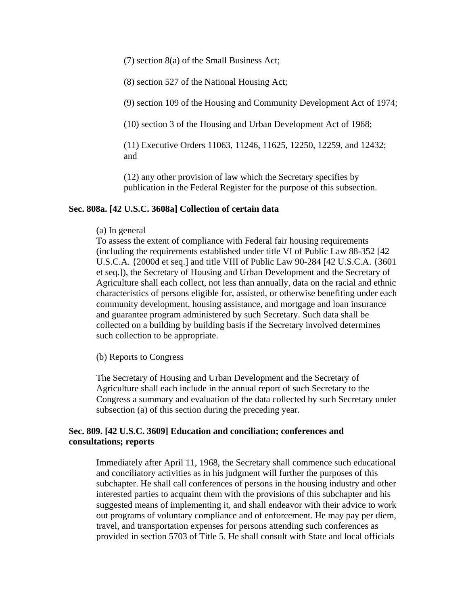(7) section 8(a) of the Small Business Act;

(8) section 527 of the National Housing Act;

(9) section 109 of the Housing and Community Development Act of 1974;

(10) section 3 of the Housing and Urban Development Act of 1968;

(11) Executive Orders 11063, 11246, 11625, 12250, 12259, and 12432; and

(12) any other provision of law which the Secretary specifies by publication in the Federal Register for the purpose of this subsection.

### **Sec. 808a. [42 U.S.C. 3608a] Collection of certain data**

#### (a) In general

To assess the extent of compliance with Federal fair housing requirements (including the requirements established under title VI of Public Law 88-352 [42 U.S.C.A. {2000d et seq.] and title VIII of Public Law 90-284 [42 U.S.C.A. {3601 et seq.]), the Secretary of Housing and Urban Development and the Secretary of Agriculture shall each collect, not less than annually, data on the racial and ethnic characteristics of persons eligible for, assisted, or otherwise benefiting under each community development, housing assistance, and mortgage and loan insurance and guarantee program administered by such Secretary. Such data shall be collected on a building by building basis if the Secretary involved determines such collection to be appropriate.

(b) Reports to Congress

The Secretary of Housing and Urban Development and the Secretary of Agriculture shall each include in the annual report of such Secretary to the Congress a summary and evaluation of the data collected by such Secretary under subsection (a) of this section during the preceding year.

## **Sec. 809. [42 U.S.C. 3609] Education and conciliation; conferences and consultations; reports**

Immediately after April 11, 1968, the Secretary shall commence such educational and conciliatory activities as in his judgment will further the purposes of this subchapter. He shall call conferences of persons in the housing industry and other interested parties to acquaint them with the provisions of this subchapter and his suggested means of implementing it, and shall endeavor with their advice to work out programs of voluntary compliance and of enforcement. He may pay per diem, travel, and transportation expenses for persons attending such conferences as provided in section 5703 of Title 5. He shall consult with State and local officials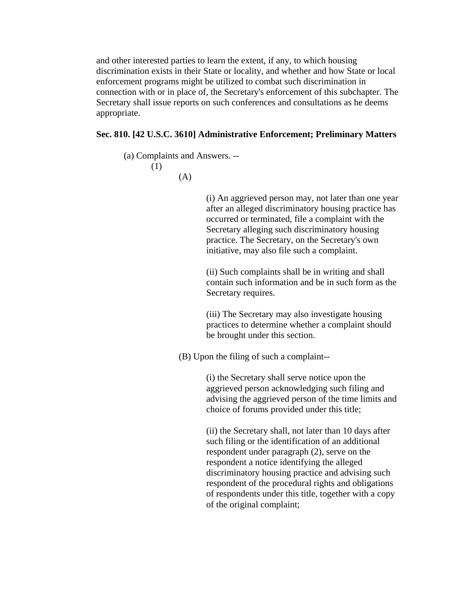and other interested parties to learn the extent, if any, to which housing discrimination exists in their State or locality, and whether and how State or local enforcement programs might be utilized to combat such discrimination in connection with or in place of, the Secretary's enforcement of this subchapter. The Secretary shall issue reports on such conferences and consultations as he deems appropriate.

### **Sec. 810. [42 U.S.C. 3610] Administrative Enforcement; Preliminary Matters**

(a) Complaints and Answers. -- (1)

(A)

(i) An aggrieved person may, not later than one year after an alleged discriminatory housing practice has occurred or terminated, file a complaint with the Secretary alleging such discriminatory housing practice. The Secretary, on the Secretary's own initiative, may also file such a complaint.

(ii) Such complaints shall be in writing and shall contain such information and be in such form as the Secretary requires.

(iii) The Secretary may also investigate housing practices to determine whether a complaint should be brought under this section.

(B) Upon the filing of such a complaint--

(i) the Secretary shall serve notice upon the aggrieved person acknowledging such filing and advising the aggrieved person of the time limits and choice of forums provided under this title;

(ii) the Secretary shall, not later than 10 days after such filing or the identification of an additional respondent under paragraph (2), serve on the respondent a notice identifying the alleged discriminatory housing practice and advising such respondent of the procedural rights and obligations of respondents under this title, together with a copy of the original complaint;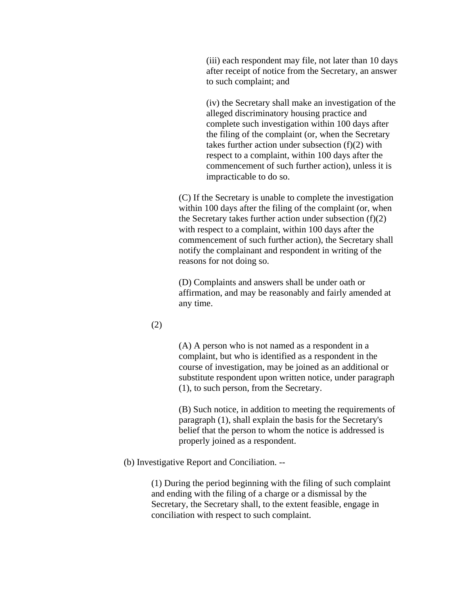(iii) each respondent may file, not later than 10 days after receipt of notice from the Secretary, an answer to such complaint; and

(iv) the Secretary shall make an investigation of the alleged discriminatory housing practice and complete such investigation within 100 days after the filing of the complaint (or, when the Secretary takes further action under subsection (f)(2) with respect to a complaint, within 100 days after the commencement of such further action), unless it is impracticable to do so.

(C) If the Secretary is unable to complete the investigation within 100 days after the filing of the complaint (or, when the Secretary takes further action under subsection  $(f)(2)$ with respect to a complaint, within 100 days after the commencement of such further action), the Secretary shall notify the complainant and respondent in writing of the reasons for not doing so.

(D) Complaints and answers shall be under oath or affirmation, and may be reasonably and fairly amended at any time.

#### (2)

(A) A person who is not named as a respondent in a complaint, but who is identified as a respondent in the course of investigation, may be joined as an additional or substitute respondent upon written notice, under paragraph (1), to such person, from the Secretary.

(B) Such notice, in addition to meeting the requirements of paragraph (1), shall explain the basis for the Secretary's belief that the person to whom the notice is addressed is properly joined as a respondent.

(b) Investigative Report and Conciliation. --

(1) During the period beginning with the filing of such complaint and ending with the filing of a charge or a dismissal by the Secretary, the Secretary shall, to the extent feasible, engage in conciliation with respect to such complaint.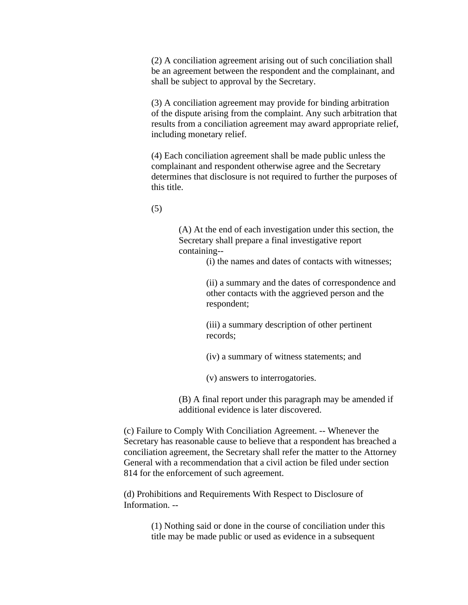(2) A conciliation agreement arising out of such conciliation shall be an agreement between the respondent and the complainant, and shall be subject to approval by the Secretary.

(3) A conciliation agreement may provide for binding arbitration of the dispute arising from the complaint. Any such arbitration that results from a conciliation agreement may award appropriate relief, including monetary relief.

(4) Each conciliation agreement shall be made public unless the complainant and respondent otherwise agree and the Secretary determines that disclosure is not required to further the purposes of this title.

(5)

(A) At the end of each investigation under this section, the Secretary shall prepare a final investigative report containing--

(i) the names and dates of contacts with witnesses;

(ii) a summary and the dates of correspondence and other contacts with the aggrieved person and the respondent;

(iii) a summary description of other pertinent records;

(iv) a summary of witness statements; and

(v) answers to interrogatories.

(B) A final report under this paragraph may be amended if additional evidence is later discovered.

(c) Failure to Comply With Conciliation Agreement. -- Whenever the Secretary has reasonable cause to believe that a respondent has breached a conciliation agreement, the Secretary shall refer the matter to the Attorney General with a recommendation that a civil action be filed under section 814 for the enforcement of such agreement.

(d) Prohibitions and Requirements With Respect to Disclosure of Information. --

> (1) Nothing said or done in the course of conciliation under this title may be made public or used as evidence in a subsequent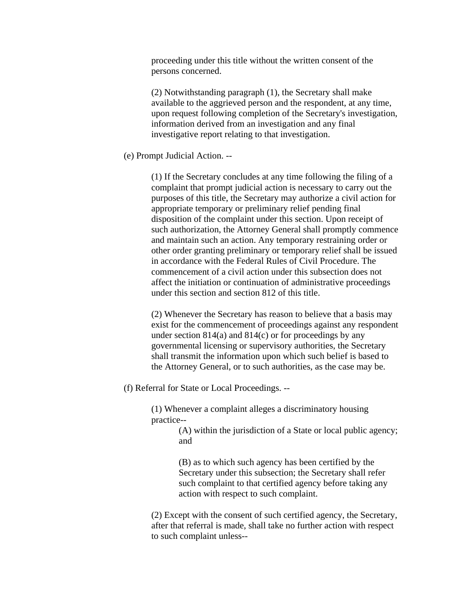proceeding under this title without the written consent of the persons concerned.

(2) Notwithstanding paragraph (1), the Secretary shall make available to the aggrieved person and the respondent, at any time, upon request following completion of the Secretary's investigation, information derived from an investigation and any final investigative report relating to that investigation.

(e) Prompt Judicial Action. --

(1) If the Secretary concludes at any time following the filing of a complaint that prompt judicial action is necessary to carry out the purposes of this title, the Secretary may authorize a civil action for appropriate temporary or preliminary relief pending final disposition of the complaint under this section. Upon receipt of such authorization, the Attorney General shall promptly commence and maintain such an action. Any temporary restraining order or other order granting preliminary or temporary relief shall be issued in accordance with the Federal Rules of Civil Procedure. The commencement of a civil action under this subsection does not affect the initiation or continuation of administrative proceedings under this section and section 812 of this title.

(2) Whenever the Secretary has reason to believe that a basis may exist for the commencement of proceedings against any respondent under section  $814(a)$  and  $814(c)$  or for proceedings by any governmental licensing or supervisory authorities, the Secretary shall transmit the information upon which such belief is based to the Attorney General, or to such authorities, as the case may be.

(f) Referral for State or Local Proceedings. --

(1) Whenever a complaint alleges a discriminatory housing practice--

> (A) within the jurisdiction of a State or local public agency; and

(B) as to which such agency has been certified by the Secretary under this subsection; the Secretary shall refer such complaint to that certified agency before taking any action with respect to such complaint.

(2) Except with the consent of such certified agency, the Secretary, after that referral is made, shall take no further action with respect to such complaint unless--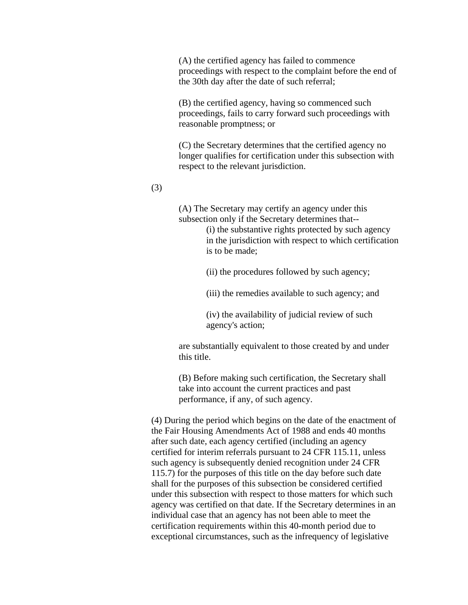(A) the certified agency has failed to commence proceedings with respect to the complaint before the end of the 30th day after the date of such referral;

(B) the certified agency, having so commenced such proceedings, fails to carry forward such proceedings with reasonable promptness; or

(C) the Secretary determines that the certified agency no longer qualifies for certification under this subsection with respect to the relevant jurisdiction.

(3)

(A) The Secretary may certify an agency under this subsection only if the Secretary determines that--

> (i) the substantive rights protected by such agency in the jurisdiction with respect to which certification is to be made;

(ii) the procedures followed by such agency;

(iii) the remedies available to such agency; and

(iv) the availability of judicial review of such agency's action;

are substantially equivalent to those created by and under this title.

(B) Before making such certification, the Secretary shall take into account the current practices and past performance, if any, of such agency.

(4) During the period which begins on the date of the enactment of the Fair Housing Amendments Act of 1988 and ends 40 months after such date, each agency certified (including an agency certified for interim referrals pursuant to 24 CFR 115.11, unless such agency is subsequently denied recognition under 24 CFR 115.7) for the purposes of this title on the day before such date shall for the purposes of this subsection be considered certified under this subsection with respect to those matters for which such agency was certified on that date. If the Secretary determines in an individual case that an agency has not been able to meet the certification requirements within this 40-month period due to exceptional circumstances, such as the infrequency of legislative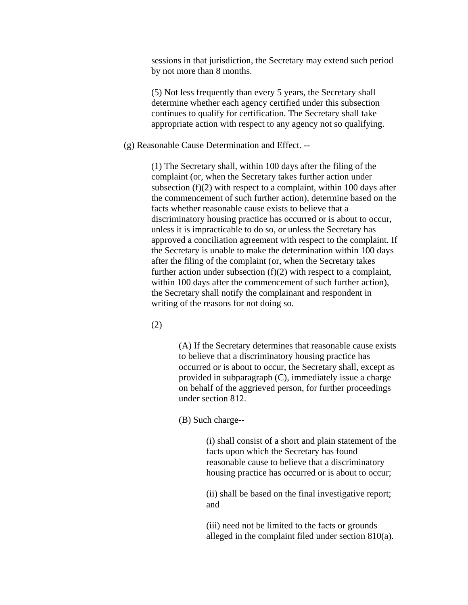sessions in that jurisdiction, the Secretary may extend such period by not more than 8 months.

(5) Not less frequently than every 5 years, the Secretary shall determine whether each agency certified under this subsection continues to qualify for certification. The Secretary shall take appropriate action with respect to any agency not so qualifying.

(g) Reasonable Cause Determination and Effect. --

(1) The Secretary shall, within 100 days after the filing of the complaint (or, when the Secretary takes further action under subsection  $(f)(2)$  with respect to a complaint, within 100 days after the commencement of such further action), determine based on the facts whether reasonable cause exists to believe that a discriminatory housing practice has occurred or is about to occur, unless it is impracticable to do so, or unless the Secretary has approved a conciliation agreement with respect to the complaint. If the Secretary is unable to make the determination within 100 days after the filing of the complaint (or, when the Secretary takes further action under subsection (f)(2) with respect to a complaint, within 100 days after the commencement of such further action), the Secretary shall notify the complainant and respondent in writing of the reasons for not doing so.

(2)

(A) If the Secretary determines that reasonable cause exists to believe that a discriminatory housing practice has occurred or is about to occur, the Secretary shall, except as provided in subparagraph (C), immediately issue a charge on behalf of the aggrieved person, for further proceedings under section 812.

(B) Such charge--

(i) shall consist of a short and plain statement of the facts upon which the Secretary has found reasonable cause to believe that a discriminatory housing practice has occurred or is about to occur;

(ii) shall be based on the final investigative report; and

(iii) need not be limited to the facts or grounds alleged in the complaint filed under section 810(a).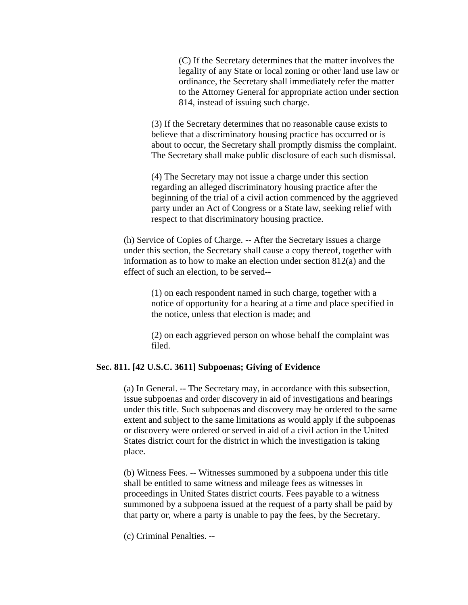(C) If the Secretary determines that the matter involves the legality of any State or local zoning or other land use law or ordinance, the Secretary shall immediately refer the matter to the Attorney General for appropriate action under section 814, instead of issuing such charge.

(3) If the Secretary determines that no reasonable cause exists to believe that a discriminatory housing practice has occurred or is about to occur, the Secretary shall promptly dismiss the complaint. The Secretary shall make public disclosure of each such dismissal.

(4) The Secretary may not issue a charge under this section regarding an alleged discriminatory housing practice after the beginning of the trial of a civil action commenced by the aggrieved party under an Act of Congress or a State law, seeking relief with respect to that discriminatory housing practice.

(h) Service of Copies of Charge. -- After the Secretary issues a charge under this section, the Secretary shall cause a copy thereof, together with information as to how to make an election under section 812(a) and the effect of such an election, to be served--

(1) on each respondent named in such charge, together with a notice of opportunity for a hearing at a time and place specified in the notice, unless that election is made; and

(2) on each aggrieved person on whose behalf the complaint was filed.

## **Sec. 811. [42 U.S.C. 3611] Subpoenas; Giving of Evidence**

(a) In General. -- The Secretary may, in accordance with this subsection, issue subpoenas and order discovery in aid of investigations and hearings under this title. Such subpoenas and discovery may be ordered to the same extent and subject to the same limitations as would apply if the subpoenas or discovery were ordered or served in aid of a civil action in the United States district court for the district in which the investigation is taking place.

(b) Witness Fees. -- Witnesses summoned by a subpoena under this title shall be entitled to same witness and mileage fees as witnesses in proceedings in United States district courts. Fees payable to a witness summoned by a subpoena issued at the request of a party shall be paid by that party or, where a party is unable to pay the fees, by the Secretary.

(c) Criminal Penalties. --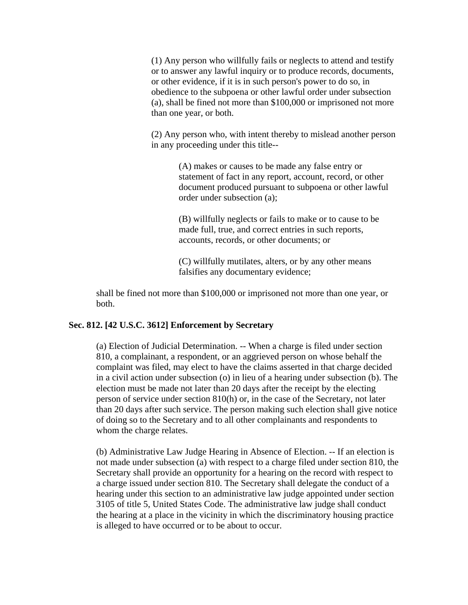(1) Any person who willfully fails or neglects to attend and testify or to answer any lawful inquiry or to produce records, documents, or other evidence, if it is in such person's power to do so, in obedience to the subpoena or other lawful order under subsection (a), shall be fined not more than \$100,000 or imprisoned not more than one year, or both.

(2) Any person who, with intent thereby to mislead another person in any proceeding under this title--

> (A) makes or causes to be made any false entry or statement of fact in any report, account, record, or other document produced pursuant to subpoena or other lawful order under subsection (a);

(B) willfully neglects or fails to make or to cause to be made full, true, and correct entries in such reports, accounts, records, or other documents; or

(C) willfully mutilates, alters, or by any other means falsifies any documentary evidence;

shall be fined not more than \$100,000 or imprisoned not more than one year, or both.

### **Sec. 812. [42 U.S.C. 3612] Enforcement by Secretary**

(a) Election of Judicial Determination. -- When a charge is filed under section 810, a complainant, a respondent, or an aggrieved person on whose behalf the complaint was filed, may elect to have the claims asserted in that charge decided in a civil action under subsection (o) in lieu of a hearing under subsection (b). The election must be made not later than 20 days after the receipt by the electing person of service under section 810(h) or, in the case of the Secretary, not later than 20 days after such service. The person making such election shall give notice of doing so to the Secretary and to all other complainants and respondents to whom the charge relates.

(b) Administrative Law Judge Hearing in Absence of Election. -- If an election is not made under subsection (a) with respect to a charge filed under section 810, the Secretary shall provide an opportunity for a hearing on the record with respect to a charge issued under section 810. The Secretary shall delegate the conduct of a hearing under this section to an administrative law judge appointed under section 3105 of title 5, United States Code. The administrative law judge shall conduct the hearing at a place in the vicinity in which the discriminatory housing practice is alleged to have occurred or to be about to occur.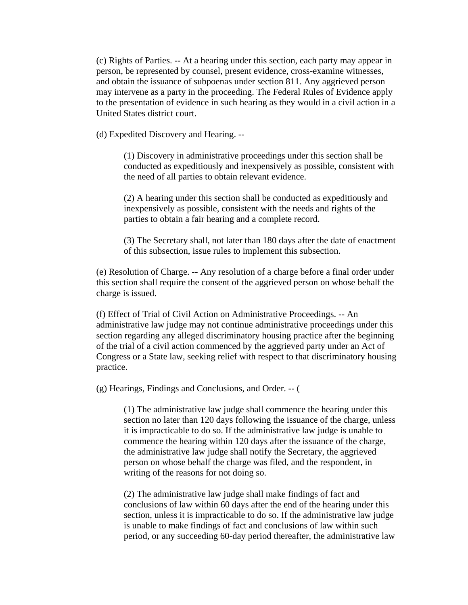(c) Rights of Parties. -- At a hearing under this section, each party may appear in person, be represented by counsel, present evidence, cross-examine witnesses, and obtain the issuance of subpoenas under section 811. Any aggrieved person may intervene as a party in the proceeding. The Federal Rules of Evidence apply to the presentation of evidence in such hearing as they would in a civil action in a United States district court.

(d) Expedited Discovery and Hearing. --

(1) Discovery in administrative proceedings under this section shall be conducted as expeditiously and inexpensively as possible, consistent with the need of all parties to obtain relevant evidence.

(2) A hearing under this section shall be conducted as expeditiously and inexpensively as possible, consistent with the needs and rights of the parties to obtain a fair hearing and a complete record.

(3) The Secretary shall, not later than 180 days after the date of enactment of this subsection, issue rules to implement this subsection.

(e) Resolution of Charge. -- Any resolution of a charge before a final order under this section shall require the consent of the aggrieved person on whose behalf the charge is issued.

(f) Effect of Trial of Civil Action on Administrative Proceedings. -- An administrative law judge may not continue administrative proceedings under this section regarding any alleged discriminatory housing practice after the beginning of the trial of a civil action commenced by the aggrieved party under an Act of Congress or a State law, seeking relief with respect to that discriminatory housing practice.

(g) Hearings, Findings and Conclusions, and Order. -- (

(1) The administrative law judge shall commence the hearing under this section no later than 120 days following the issuance of the charge, unless it is impracticable to do so. If the administrative law judge is unable to commence the hearing within 120 days after the issuance of the charge, the administrative law judge shall notify the Secretary, the aggrieved person on whose behalf the charge was filed, and the respondent, in writing of the reasons for not doing so.

(2) The administrative law judge shall make findings of fact and conclusions of law within 60 days after the end of the hearing under this section, unless it is impracticable to do so. If the administrative law judge is unable to make findings of fact and conclusions of law within such period, or any succeeding 60-day period thereafter, the administrative law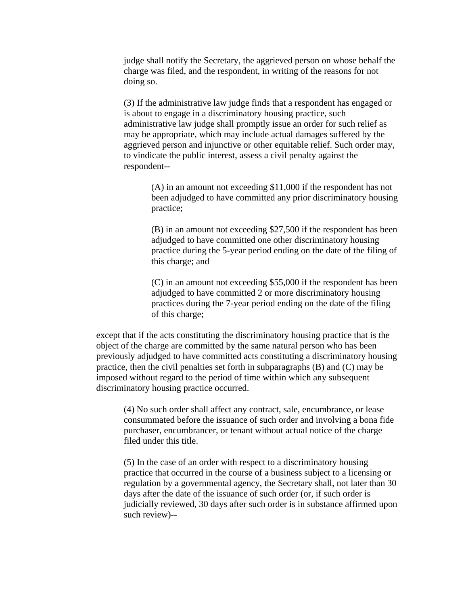judge shall notify the Secretary, the aggrieved person on whose behalf the charge was filed, and the respondent, in writing of the reasons for not doing so.

(3) If the administrative law judge finds that a respondent has engaged or is about to engage in a discriminatory housing practice, such administrative law judge shall promptly issue an order for such relief as may be appropriate, which may include actual damages suffered by the aggrieved person and injunctive or other equitable relief. Such order may, to vindicate the public interest, assess a civil penalty against the respondent--

> (A) in an amount not exceeding \$11,000 if the respondent has not been adjudged to have committed any prior discriminatory housing practice;

> (B) in an amount not exceeding \$27,500 if the respondent has been adjudged to have committed one other discriminatory housing practice during the 5-year period ending on the date of the filing of this charge; and

> (C) in an amount not exceeding \$55,000 if the respondent has been adjudged to have committed 2 or more discriminatory housing practices during the 7-year period ending on the date of the filing of this charge;

except that if the acts constituting the discriminatory housing practice that is the object of the charge are committed by the same natural person who has been previously adjudged to have committed acts constituting a discriminatory housing practice, then the civil penalties set forth in subparagraphs (B) and (C) may be imposed without regard to the period of time within which any subsequent discriminatory housing practice occurred.

(4) No such order shall affect any contract, sale, encumbrance, or lease consummated before the issuance of such order and involving a bona fide purchaser, encumbrancer, or tenant without actual notice of the charge filed under this title.

(5) In the case of an order with respect to a discriminatory housing practice that occurred in the course of a business subject to a licensing or regulation by a governmental agency, the Secretary shall, not later than 30 days after the date of the issuance of such order (or, if such order is judicially reviewed, 30 days after such order is in substance affirmed upon such review)--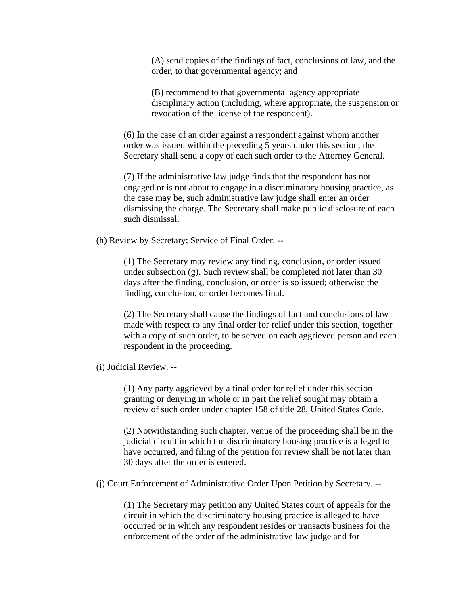(A) send copies of the findings of fact, conclusions of law, and the order, to that governmental agency; and

(B) recommend to that governmental agency appropriate disciplinary action (including, where appropriate, the suspension or revocation of the license of the respondent).

(6) In the case of an order against a respondent against whom another order was issued within the preceding 5 years under this section, the Secretary shall send a copy of each such order to the Attorney General.

(7) If the administrative law judge finds that the respondent has not engaged or is not about to engage in a discriminatory housing practice, as the case may be, such administrative law judge shall enter an order dismissing the charge. The Secretary shall make public disclosure of each such dismissal.

(h) Review by Secretary; Service of Final Order. --

(1) The Secretary may review any finding, conclusion, or order issued under subsection  $(g)$ . Such review shall be completed not later than 30 days after the finding, conclusion, or order is so issued; otherwise the finding, conclusion, or order becomes final.

(2) The Secretary shall cause the findings of fact and conclusions of law made with respect to any final order for relief under this section, together with a copy of such order, to be served on each aggrieved person and each respondent in the proceeding.

(i) Judicial Review. --

(1) Any party aggrieved by a final order for relief under this section granting or denying in whole or in part the relief sought may obtain a review of such order under chapter 158 of title 28, United States Code.

(2) Notwithstanding such chapter, venue of the proceeding shall be in the judicial circuit in which the discriminatory housing practice is alleged to have occurred, and filing of the petition for review shall be not later than 30 days after the order is entered.

(j) Court Enforcement of Administrative Order Upon Petition by Secretary. --

(1) The Secretary may petition any United States court of appeals for the circuit in which the discriminatory housing practice is alleged to have occurred or in which any respondent resides or transacts business for the enforcement of the order of the administrative law judge and for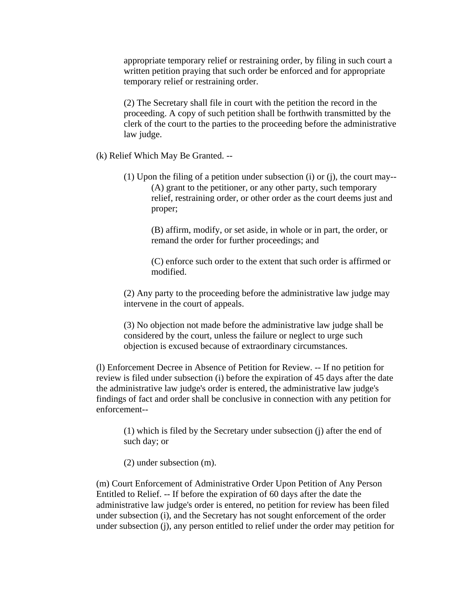appropriate temporary relief or restraining order, by filing in such court a written petition praying that such order be enforced and for appropriate temporary relief or restraining order.

(2) The Secretary shall file in court with the petition the record in the proceeding. A copy of such petition shall be forthwith transmitted by the clerk of the court to the parties to the proceeding before the administrative law judge.

(k) Relief Which May Be Granted. --

(1) Upon the filing of a petition under subsection (i) or (j), the court may-- (A) grant to the petitioner, or any other party, such temporary relief, restraining order, or other order as the court deems just and proper;

(B) affirm, modify, or set aside, in whole or in part, the order, or remand the order for further proceedings; and

(C) enforce such order to the extent that such order is affirmed or modified.

(2) Any party to the proceeding before the administrative law judge may intervene in the court of appeals.

(3) No objection not made before the administrative law judge shall be considered by the court, unless the failure or neglect to urge such objection is excused because of extraordinary circumstances.

(l) Enforcement Decree in Absence of Petition for Review. -- If no petition for review is filed under subsection (i) before the expiration of 45 days after the date the administrative law judge's order is entered, the administrative law judge's findings of fact and order shall be conclusive in connection with any petition for enforcement--

(1) which is filed by the Secretary under subsection (j) after the end of such day; or

(2) under subsection (m).

(m) Court Enforcement of Administrative Order Upon Petition of Any Person Entitled to Relief. -- If before the expiration of 60 days after the date the administrative law judge's order is entered, no petition for review has been filed under subsection (i), and the Secretary has not sought enforcement of the order under subsection (j), any person entitled to relief under the order may petition for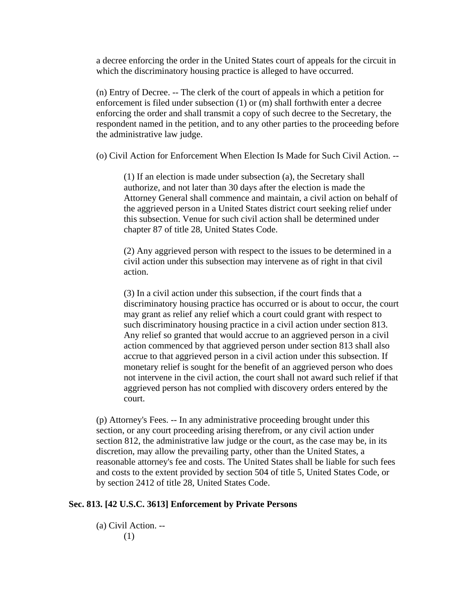a decree enforcing the order in the United States court of appeals for the circuit in which the discriminatory housing practice is alleged to have occurred.

(n) Entry of Decree. -- The clerk of the court of appeals in which a petition for enforcement is filed under subsection (1) or (m) shall forthwith enter a decree enforcing the order and shall transmit a copy of such decree to the Secretary, the respondent named in the petition, and to any other parties to the proceeding before the administrative law judge.

(o) Civil Action for Enforcement When Election Is Made for Such Civil Action. --

(1) If an election is made under subsection (a), the Secretary shall authorize, and not later than 30 days after the election is made the Attorney General shall commence and maintain, a civil action on behalf of the aggrieved person in a United States district court seeking relief under this subsection. Venue for such civil action shall be determined under chapter 87 of title 28, United States Code.

(2) Any aggrieved person with respect to the issues to be determined in a civil action under this subsection may intervene as of right in that civil action.

(3) In a civil action under this subsection, if the court finds that a discriminatory housing practice has occurred or is about to occur, the court may grant as relief any relief which a court could grant with respect to such discriminatory housing practice in a civil action under section 813. Any relief so granted that would accrue to an aggrieved person in a civil action commenced by that aggrieved person under section 813 shall also accrue to that aggrieved person in a civil action under this subsection. If monetary relief is sought for the benefit of an aggrieved person who does not intervene in the civil action, the court shall not award such relief if that aggrieved person has not complied with discovery orders entered by the court.

(p) Attorney's Fees. -- In any administrative proceeding brought under this section, or any court proceeding arising therefrom, or any civil action under section 812, the administrative law judge or the court, as the case may be, in its discretion, may allow the prevailing party, other than the United States, a reasonable attorney's fee and costs. The United States shall be liable for such fees and costs to the extent provided by section 504 of title 5, United States Code, or by section 2412 of title 28, United States Code.

# **Sec. 813. [42 U.S.C. 3613] Enforcement by Private Persons**

```
(a) Civil Action. -- 
(1)
```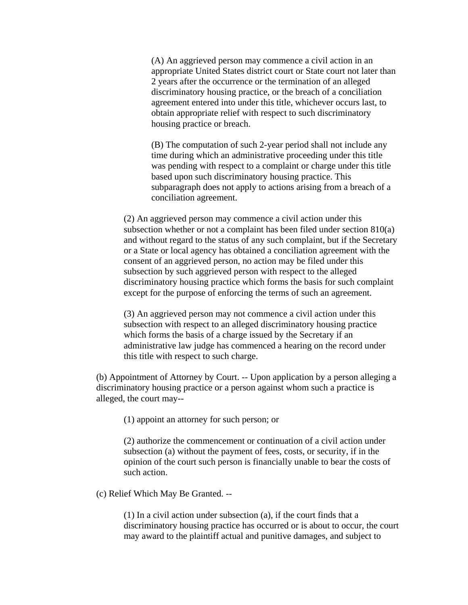(A) An aggrieved person may commence a civil action in an appropriate United States district court or State court not later than 2 years after the occurrence or the termination of an alleged discriminatory housing practice, or the breach of a conciliation agreement entered into under this title, whichever occurs last, to obtain appropriate relief with respect to such discriminatory housing practice or breach.

(B) The computation of such 2-year period shall not include any time during which an administrative proceeding under this title was pending with respect to a complaint or charge under this title based upon such discriminatory housing practice. This subparagraph does not apply to actions arising from a breach of a conciliation agreement.

(2) An aggrieved person may commence a civil action under this subsection whether or not a complaint has been filed under section 810(a) and without regard to the status of any such complaint, but if the Secretary or a State or local agency has obtained a conciliation agreement with the consent of an aggrieved person, no action may be filed under this subsection by such aggrieved person with respect to the alleged discriminatory housing practice which forms the basis for such complaint except for the purpose of enforcing the terms of such an agreement.

(3) An aggrieved person may not commence a civil action under this subsection with respect to an alleged discriminatory housing practice which forms the basis of a charge issued by the Secretary if an administrative law judge has commenced a hearing on the record under this title with respect to such charge.

(b) Appointment of Attorney by Court. -- Upon application by a person alleging a discriminatory housing practice or a person against whom such a practice is alleged, the court may--

(1) appoint an attorney for such person; or

(2) authorize the commencement or continuation of a civil action under subsection (a) without the payment of fees, costs, or security, if in the opinion of the court such person is financially unable to bear the costs of such action.

(c) Relief Which May Be Granted. --

(1) In a civil action under subsection (a), if the court finds that a discriminatory housing practice has occurred or is about to occur, the court may award to the plaintiff actual and punitive damages, and subject to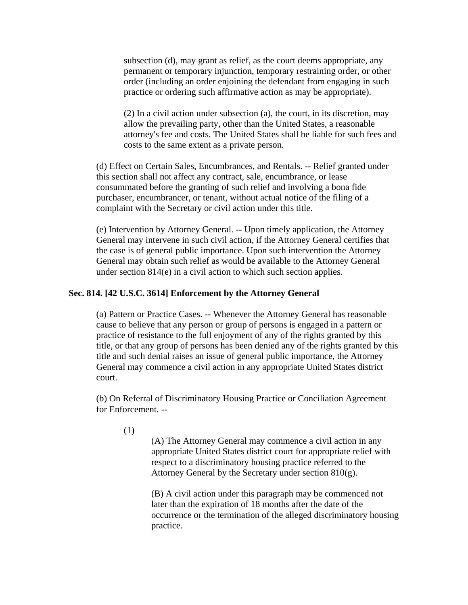subsection (d), may grant as relief, as the court deems appropriate, any permanent or temporary injunction, temporary restraining order, or other order (including an order enjoining the defendant from engaging in such practice or ordering such affirmative action as may be appropriate).

(2) In a civil action under subsection (a), the court, in its discretion, may allow the prevailing party, other than the United States, a reasonable attorney's fee and costs. The United States shall be liable for such fees and costs to the same extent as a private person.

(d) Effect on Certain Sales, Encumbrances, and Rentals. -- Relief granted under this section shall not affect any contract, sale, encumbrance, or lease consummated before the granting of such relief and involving a bona fide purchaser, encumbrancer, or tenant, without actual notice of the filing of a complaint with the Secretary or civil action under this title.

(e) Intervention by Attorney General. -- Upon timely application, the Attorney General may intervene in such civil action, if the Attorney General certifies that the case is of general public importance. Upon such intervention the Attorney General may obtain such relief as would be available to the Attorney General under section 814(e) in a civil action to which such section applies.

#### **Sec. 814. [42 U.S.C. 3614] Enforcement by the Attorney General**

(a) Pattern or Practice Cases. -- Whenever the Attorney General has reasonable cause to believe that any person or group of persons is engaged in a pattern or practice of resistance to the full enjoyment of any of the rights granted by this title, or that any group of persons has been denied any of the rights granted by this title and such denial raises an issue of general public importance, the Attorney General may commence a civil action in any appropriate United States district court.

(b) On Referral of Discriminatory Housing Practice or Conciliation Agreement for Enforcement. --

(1)

(A) The Attorney General may commence a civil action in any appropriate United States district court for appropriate relief with respect to a discriminatory housing practice referred to the Attorney General by the Secretary under section 810(g).

(B) A civil action under this paragraph may be commenced not later than the expiration of 18 months after the date of the occurrence or the termination of the alleged discriminatory housing practice.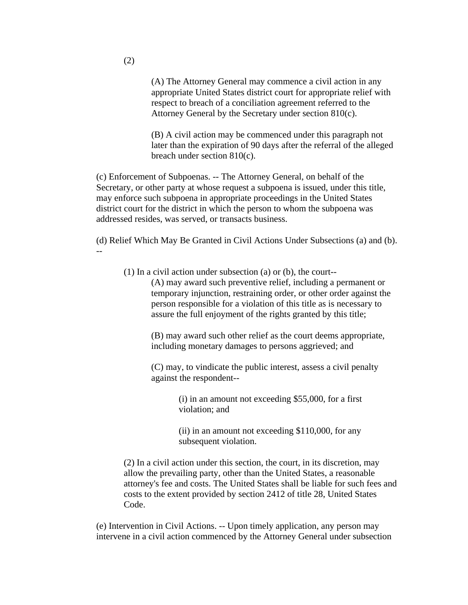(A) The Attorney General may commence a civil action in any appropriate United States district court for appropriate relief with respect to breach of a conciliation agreement referred to the Attorney General by the Secretary under section 810(c).

(B) A civil action may be commenced under this paragraph not later than the expiration of 90 days after the referral of the alleged breach under section 810(c).

(c) Enforcement of Subpoenas. -- The Attorney General, on behalf of the Secretary, or other party at whose request a subpoena is issued, under this title, may enforce such subpoena in appropriate proceedings in the United States district court for the district in which the person to whom the subpoena was addressed resides, was served, or transacts business.

(d) Relief Which May Be Granted in Civil Actions Under Subsections (a) and (b).

(1) In a civil action under subsection (a) or (b), the court--

(A) may award such preventive relief, including a permanent or temporary injunction, restraining order, or other order against the person responsible for a violation of this title as is necessary to assure the full enjoyment of the rights granted by this title;

(B) may award such other relief as the court deems appropriate, including monetary damages to persons aggrieved; and

(C) may, to vindicate the public interest, assess a civil penalty against the respondent--

> (i) in an amount not exceeding \$55,000, for a first violation; and

> (ii) in an amount not exceeding \$110,000, for any subsequent violation.

(2) In a civil action under this section, the court, in its discretion, may allow the prevailing party, other than the United States, a reasonable attorney's fee and costs. The United States shall be liable for such fees and costs to the extent provided by section 2412 of title 28, United States Code.

(e) Intervention in Civil Actions. -- Upon timely application, any person may intervene in a civil action commenced by the Attorney General under subsection

--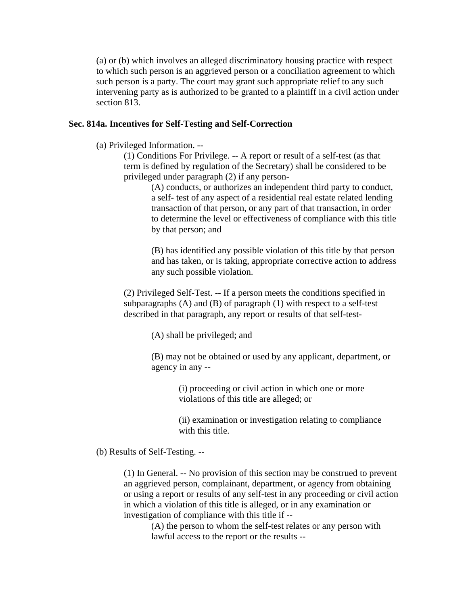(a) or (b) which involves an alleged discriminatory housing practice with respect to which such person is an aggrieved person or a conciliation agreement to which such person is a party. The court may grant such appropriate relief to any such intervening party as is authorized to be granted to a plaintiff in a civil action under section 813.

### **Sec. 814a. Incentives for Self-Testing and Self-Correction**

(a) Privileged Information. --

(1) Conditions For Privilege. -- A report or result of a self-test (as that term is defined by regulation of the Secretary) shall be considered to be privileged under paragraph (2) if any person-

> (A) conducts, or authorizes an independent third party to conduct, a self- test of any aspect of a residential real estate related lending transaction of that person, or any part of that transaction, in order to determine the level or effectiveness of compliance with this title by that person; and

> (B) has identified any possible violation of this title by that person and has taken, or is taking, appropriate corrective action to address any such possible violation.

(2) Privileged Self-Test. -- If a person meets the conditions specified in subparagraphs  $(A)$  and  $(B)$  of paragraph  $(1)$  with respect to a self-test described in that paragraph, any report or results of that self-test-

(A) shall be privileged; and

(B) may not be obtained or used by any applicant, department, or agency in any --

> (i) proceeding or civil action in which one or more violations of this title are alleged; or

(ii) examination or investigation relating to compliance with this title.

(b) Results of Self-Testing. --

(1) In General. -- No provision of this section may be construed to prevent an aggrieved person, complainant, department, or agency from obtaining or using a report or results of any self-test in any proceeding or civil action in which a violation of this title is alleged, or in any examination or investigation of compliance with this title if --

(A) the person to whom the self-test relates or any person with lawful access to the report or the results --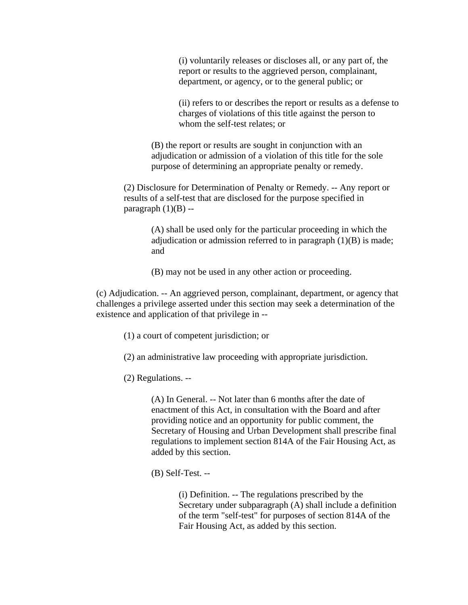(i) voluntarily releases or discloses all, or any part of, the report or results to the aggrieved person, complainant, department, or agency, or to the general public; or

(ii) refers to or describes the report or results as a defense to charges of violations of this title against the person to whom the self-test relates; or

(B) the report or results are sought in conjunction with an adjudication or admission of a violation of this title for the sole purpose of determining an appropriate penalty or remedy.

(2) Disclosure for Determination of Penalty or Remedy. -- Any report or results of a self-test that are disclosed for the purpose specified in paragraph  $(1)(B)$  --

> (A) shall be used only for the particular proceeding in which the adjudication or admission referred to in paragraph (1)(B) is made; and

(B) may not be used in any other action or proceeding.

(c) Adjudication. -- An aggrieved person, complainant, department, or agency that challenges a privilege asserted under this section may seek a determination of the existence and application of that privilege in --

- (1) a court of competent jurisdiction; or
- (2) an administrative law proceeding with appropriate jurisdiction.

(2) Regulations. --

(A) In General. -- Not later than 6 months after the date of enactment of this Act, in consultation with the Board and after providing notice and an opportunity for public comment, the Secretary of Housing and Urban Development shall prescribe final regulations to implement section 814A of the Fair Housing Act, as added by this section.

(B) Self-Test. --

(i) Definition. -- The regulations prescribed by the Secretary under subparagraph (A) shall include a definition of the term "self-test" for purposes of section 814A of the Fair Housing Act, as added by this section.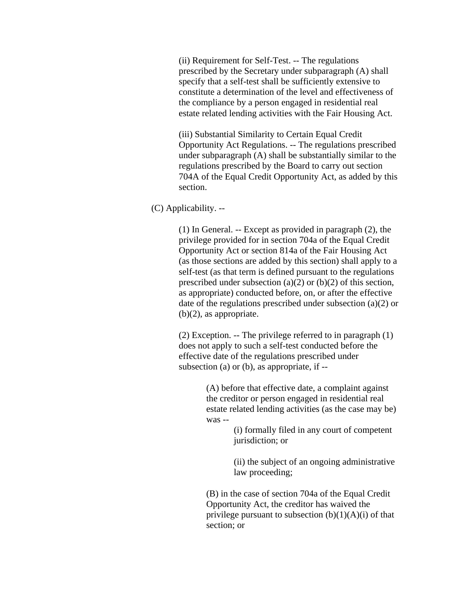(ii) Requirement for Self-Test. -- The regulations prescribed by the Secretary under subparagraph (A) shall specify that a self-test shall be sufficiently extensive to constitute a determination of the level and effectiveness of the compliance by a person engaged in residential real estate related lending activities with the Fair Housing Act.

(iii) Substantial Similarity to Certain Equal Credit Opportunity Act Regulations. -- The regulations prescribed under subparagraph (A) shall be substantially similar to the regulations prescribed by the Board to carry out section 704A of the Equal Credit Opportunity Act, as added by this section.

(C) Applicability. --

(1) In General. -- Except as provided in paragraph (2), the privilege provided for in section 704a of the Equal Credit Opportunity Act or section 814a of the Fair Housing Act (as those sections are added by this section) shall apply to a self-test (as that term is defined pursuant to the regulations prescribed under subsection (a)(2) or (b)(2) of this section, as appropriate) conducted before, on, or after the effective date of the regulations prescribed under subsection (a)(2) or  $(b)(2)$ , as appropriate.

(2) Exception. -- The privilege referred to in paragraph (1) does not apply to such a self-test conducted before the effective date of the regulations prescribed under subsection (a) or (b), as appropriate, if --

> (A) before that effective date, a complaint against the creditor or person engaged in residential real estate related lending activities (as the case may be) was --

> > (i) formally filed in any court of competent jurisdiction; or

(ii) the subject of an ongoing administrative law proceeding;

(B) in the case of section 704a of the Equal Credit Opportunity Act, the creditor has waived the privilege pursuant to subsection  $(b)(1)(A)(i)$  of that section; or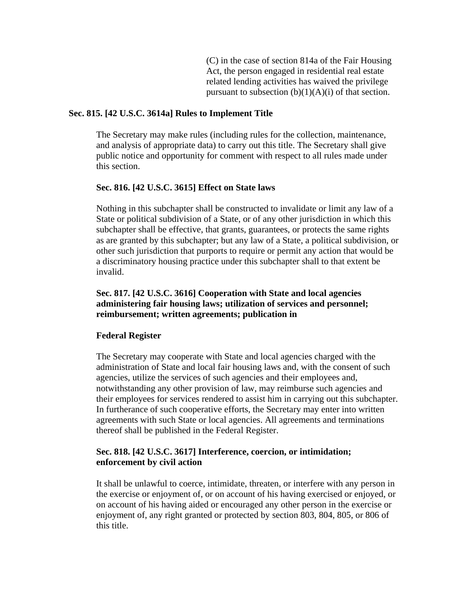(C) in the case of section 814a of the Fair Housing Act, the person engaged in residential real estate related lending activities has waived the privilege pursuant to subsection  $(b)(1)(A)(i)$  of that section.

## **Sec. 815. [42 U.S.C. 3614a] Rules to Implement Title**

The Secretary may make rules (including rules for the collection, maintenance, and analysis of appropriate data) to carry out this title. The Secretary shall give public notice and opportunity for comment with respect to all rules made under this section.

## **Sec. 816. [42 U.S.C. 3615] Effect on State laws**

Nothing in this subchapter shall be constructed to invalidate or limit any law of a State or political subdivision of a State, or of any other jurisdiction in which this subchapter shall be effective, that grants, guarantees, or protects the same rights as are granted by this subchapter; but any law of a State, a political subdivision, or other such jurisdiction that purports to require or permit any action that would be a discriminatory housing practice under this subchapter shall to that extent be invalid.

## **Sec. 817. [42 U.S.C. 3616] Cooperation with State and local agencies administering fair housing laws; utilization of services and personnel; reimbursement; written agreements; publication in**

### **Federal Register**

The Secretary may cooperate with State and local agencies charged with the administration of State and local fair housing laws and, with the consent of such agencies, utilize the services of such agencies and their employees and, notwithstanding any other provision of law, may reimburse such agencies and their employees for services rendered to assist him in carrying out this subchapter. In furtherance of such cooperative efforts, the Secretary may enter into written agreements with such State or local agencies. All agreements and terminations thereof shall be published in the Federal Register.

## **Sec. 818. [42 U.S.C. 3617] Interference, coercion, or intimidation; enforcement by civil action**

It shall be unlawful to coerce, intimidate, threaten, or interfere with any person in the exercise or enjoyment of, or on account of his having exercised or enjoyed, or on account of his having aided or encouraged any other person in the exercise or enjoyment of, any right granted or protected by section 803, 804, 805, or 806 of this title.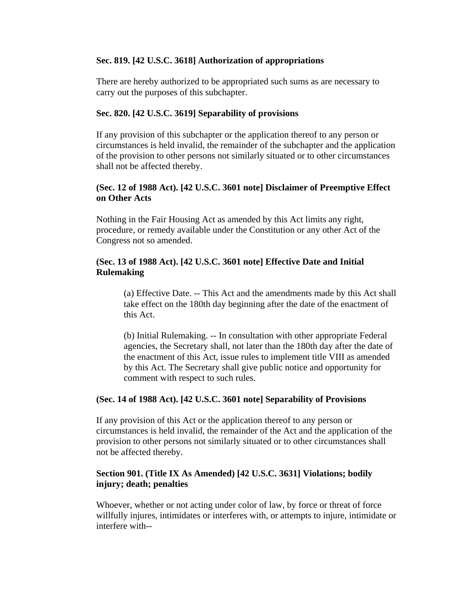## **Sec. 819. [42 U.S.C. 3618] Authorization of appropriations**

There are hereby authorized to be appropriated such sums as are necessary to carry out the purposes of this subchapter.

## **Sec. 820. [42 U.S.C. 3619] Separability of provisions**

If any provision of this subchapter or the application thereof to any person or circumstances is held invalid, the remainder of the subchapter and the application of the provision to other persons not similarly situated or to other circumstances shall not be affected thereby.

## **(Sec. 12 of 1988 Act). [42 U.S.C. 3601 note] Disclaimer of Preemptive Effect on Other Acts**

Nothing in the Fair Housing Act as amended by this Act limits any right, procedure, or remedy available under the Constitution or any other Act of the Congress not so amended.

# **(Sec. 13 of 1988 Act). [42 U.S.C. 3601 note] Effective Date and Initial Rulemaking**

(a) Effective Date. -- This Act and the amendments made by this Act shall take effect on the 180th day beginning after the date of the enactment of this Act.

(b) Initial Rulemaking. -- In consultation with other appropriate Federal agencies, the Secretary shall, not later than the 180th day after the date of the enactment of this Act, issue rules to implement title VIII as amended by this Act. The Secretary shall give public notice and opportunity for comment with respect to such rules.

## **(Sec. 14 of 1988 Act). [42 U.S.C. 3601 note] Separability of Provisions**

If any provision of this Act or the application thereof to any person or circumstances is held invalid, the remainder of the Act and the application of the provision to other persons not similarly situated or to other circumstances shall not be affected thereby.

# **Section 901. (Title IX As Amended) [42 U.S.C. 3631] Violations; bodily injury; death; penalties**

Whoever, whether or not acting under color of law, by force or threat of force willfully injures, intimidates or interferes with, or attempts to injure, intimidate or interfere with--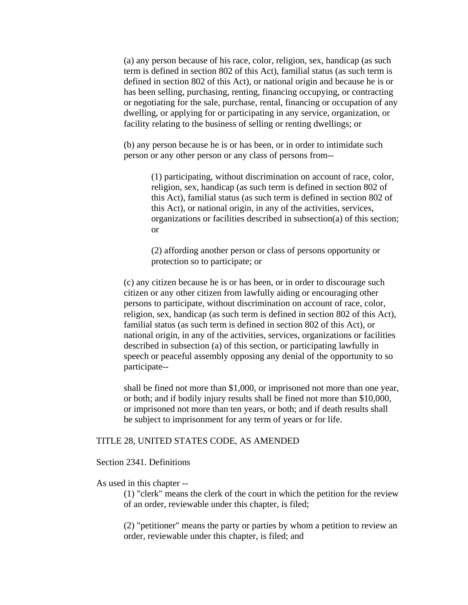(a) any person because of his race, color, religion, sex, handicap (as such term is defined in section 802 of this Act), familial status (as such term is defined in section 802 of this Act), or national origin and because he is or has been selling, purchasing, renting, financing occupying, or contracting or negotiating for the sale, purchase, rental, financing or occupation of any dwelling, or applying for or participating in any service, organization, or facility relating to the business of selling or renting dwellings; or

(b) any person because he is or has been, or in order to intimidate such person or any other person or any class of persons from--

> (1) participating, without discrimination on account of race, color, religion, sex, handicap (as such term is defined in section 802 of this Act), familial status (as such term is defined in section 802 of this Act), or national origin, in any of the activities, services, organizations or facilities described in subsection(a) of this section; or

(2) affording another person or class of persons opportunity or protection so to participate; or

(c) any citizen because he is or has been, or in order to discourage such citizen or any other citizen from lawfully aiding or encouraging other persons to participate, without discrimination on account of race, color, religion, sex, handicap (as such term is defined in section 802 of this Act), familial status (as such term is defined in section 802 of this Act), or national origin, in any of the activities, services, organizations or facilities described in subsection (a) of this section, or participating lawfully in speech or peaceful assembly opposing any denial of the opportunity to so participate--

shall be fined not more than \$1,000, or imprisoned not more than one year, or both; and if bodily injury results shall be fined not more than \$10,000, or imprisoned not more than ten years, or both; and if death results shall be subject to imprisonment for any term of years or for life.

### TITLE 28, UNITED STATES CODE, AS AMENDED

### Section 2341. Definitions

### As used in this chapter --

(1) "clerk" means the clerk of the court in which the petition for the review of an order, reviewable under this chapter, is filed;

(2) "petitioner" means the party or parties by whom a petition to review an order, reviewable under this chapter, is filed; and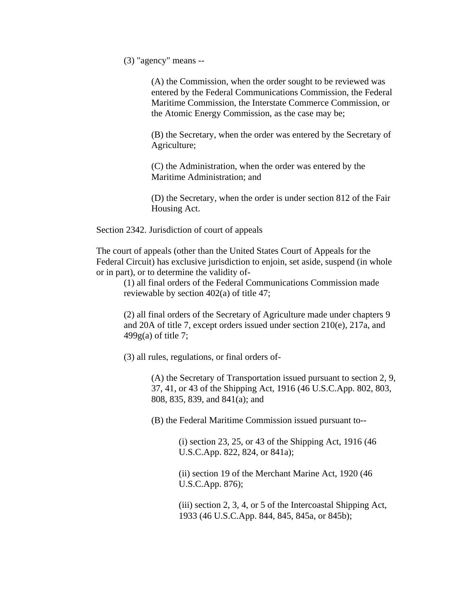(3) "agency" means --

(A) the Commission, when the order sought to be reviewed was entered by the Federal Communications Commission, the Federal Maritime Commission, the Interstate Commerce Commission, or the Atomic Energy Commission, as the case may be;

(B) the Secretary, when the order was entered by the Secretary of Agriculture;

(C) the Administration, when the order was entered by the Maritime Administration; and

(D) the Secretary, when the order is under section 812 of the Fair Housing Act.

Section 2342. Jurisdiction of court of appeals

The court of appeals (other than the United States Court of Appeals for the Federal Circuit) has exclusive jurisdiction to enjoin, set aside, suspend (in whole or in part), or to determine the validity of-

(1) all final orders of the Federal Communications Commission made reviewable by section 402(a) of title 47;

(2) all final orders of the Secretary of Agriculture made under chapters 9 and 20A of title 7, except orders issued under section 210(e), 217a, and  $499g(a)$  of title 7;

(3) all rules, regulations, or final orders of-

(A) the Secretary of Transportation issued pursuant to section 2, 9, 37, 41, or 43 of the Shipping Act, 1916 (46 U.S.C.App. 802, 803, 808, 835, 839, and 841(a); and

(B) the Federal Maritime Commission issued pursuant to--

(i) section 23, 25, or 43 of the Shipping Act, 1916 (46 U.S.C.App. 822, 824, or 841a);

(ii) section 19 of the Merchant Marine Act, 1920 (46 U.S.C.App. 876);

(iii) section 2, 3, 4, or 5 of the Intercoastal Shipping Act, 1933 (46 U.S.C.App. 844, 845, 845a, or 845b);